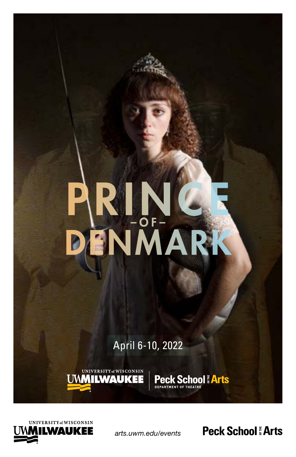# PRINCE DENMARK

April 6-10, 2022

UNIVERSITY of WISCONSIN

**UMMILWAUKEE** 



*arts.uwm.edu/events*

**Peck School: Arts** 

**School Earts**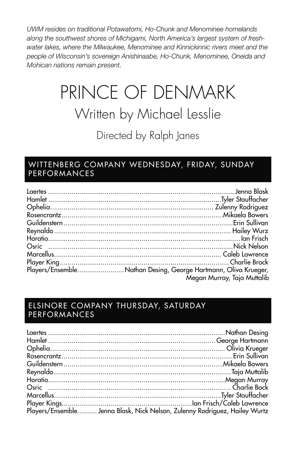*UWM resides on traditional Potawatomi, Ho-Chunk and Menominee homelands along the southwest shores of Michigami, North America's largest system of fresh*water lakes, where the Milwaukee, Menominee and Kinnickinnic rivers meet and the *people of Wisconsin's sovereign Anishinaabe, Ho-Chunk, Menominee, Oneida and Mohican nations remain present.*

### PRINCE OF DENMARK Written by Michael Lesslie Directed by Ralph Janes

### WITTENBERG COMPANY WEDNESDAY, FRIDAY, SUNDAY PERFORMANCES

| Players/EnsembleNathan Desing, George Hartmann, Oliva Krueger, |
|----------------------------------------------------------------|
| Megan Murray, Taja Muttalib                                    |
|                                                                |

### ELSINORE COMPANY THURSDAY, SATURDAY PERFORMANCES

| Players/Ensemble Jenna Blask, Nick Nelson, Zulenny Rodriguez, Hailey Wurtz |  |
|----------------------------------------------------------------------------|--|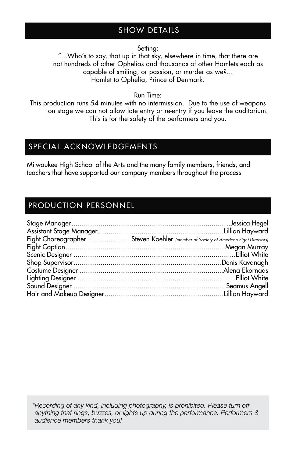### SHOW DETAILS

Setting:

"...Who's to say, that up in that sky, elsewhere in time, that there are not hundreds of other Ophelias and thousands of other Hamlets each as capable of smiling, or passion, or murder as we?... Hamlet to Ophelia, Prince of Denmark.

Run Time:

This production runs 54 minutes with no intermission. Due to the use of weapons on stage we can not allow late entry or re-entry if you leave the auditorium. This is for the safety of the performers and you.

### SPECIAL ACKNOWLEDGEMENTS

Milwaukee High School of the Arts and the many family members, friends, and teachers that have supported our company members throughout the process.

### PRODUCTION PERSONNEL

| Fight Choreographer  Steven Koehler (member of Society of American Fight Directors) |
|-------------------------------------------------------------------------------------|
|                                                                                     |
|                                                                                     |
|                                                                                     |
|                                                                                     |
|                                                                                     |
|                                                                                     |
|                                                                                     |
|                                                                                     |

*\*Recording of any kind, including photography, is prohibited. Please turn off anything that rings, buzzes, or lights up during the performance. Performers & audience members thank you!*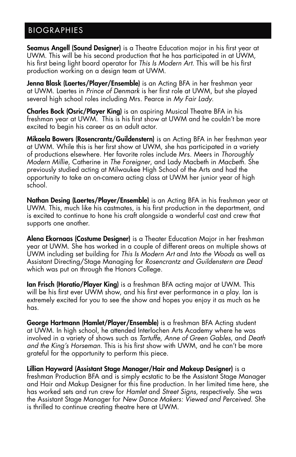### BIOGRAPHIES

Seamus Angell (Sound Designer) is a Theatre Education major in his first year at UWM. This will be his second production that he has participated in at UWM, his first being light board operator for *This Is Modern Art*. This will be his first production working on a design team at UWM.

Jenna Blask (Laertes/Player/Ensemble) is an Acting BFA in her freshman year at UWM. Laertes in *Prince of Denmark* is her first role at UWM, but she played several high school roles including Mrs. Pearce in *My Fair Lady*.

Charles Bock (Osric/Player King) is an aspiring Musical Theatre BFA in his freshman year at UWM. This is his first show at UWM and he couldn't be more excited to begin his career as an adult actor.

Mikaela Bowers (Rosencrantz/Guildenstern) is an Acting BFA in her freshman year at UWM. While this is her first show at UWM, she has participated in a variety of productions elsewhere. Her favorite roles include Mrs. Meers in *Thoroughly Modern Millie*, Catherine in *The Foreigner*, and Lady Macbeth in *Macbeth*. She previously studied acting at Milwaukee High School of the Arts and had the opportunity to take an on-camera acting class at UWM her junior year of high school.

Nathan Desing (Laertes/Player/Ensemble) is an Acting BFA in his freshman year at UWM. This, much like his castmates, is his first production in the department, and is excited to continue to hone his craft alongside a wonderful cast and crew that supports one another.

Alena Ekornaas (Costume Designer) is a Theater Education Major in her freshman year at UWM. She has worked in a couple of different areas on multiple shows at UWM including set building for *This Is Modern Art* and *Into the Woods* as well as Assistant Directing/Stage Managing for *Rosencrantz and Guildenstern are Dead* which was put on through the Honors College.

Ian Frisch (Horatio/Player King) is a freshman BFA acting major at UWM. This will be his first ever UWM show, and his first ever performance in a play. Ian is extremely excited for you to see the show and hopes you enjoy it as much as he has.

George Hartmann (Hamlet/Player/Ensemble) is a freshman BFA Acting student at UWM. In high school, he attended Interlochen Arts Academy where he was involved in a variety of shows such as *Tartuffe*, *Anne of Green Gables*, and *Death and the King's Horseman*. This is his first show with UWM, and he can't be more grateful for the opportunity to perform this piece.

Lillian Hayward (Assistant Stage Manager/Hair and Makeup Designer) is a freshman Production BFA and is simply ecstatic to be the Assistant Stage Manager and Hair and Makup Designer for this fine production. In her limited time here, she has worked sets and run crew for *Hamlet* and *Street Signs*, respectively. She was the Assistant Stage Manager for *New Dance Makers: Viewed and Perceived*. She is thrilled to continue creating theatre here at UWM.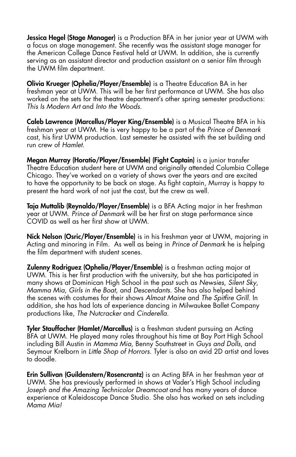**Jessica Hegel (Stage Manager)** is a Production BFA in her junior year at UWM with a focus on stage management. She recently was the assistant stage manager for the American College Dance Festival held at UWM. In addition, she is currently serving as an assistant director and production assistant on a senior film through the UWM film department.

Olivia Krueger (Ophelia/Player/Ensemble) is a Theatre Education BA in her freshman year at UWM. This will be her first performance at UWM. She has also worked on the sets for the theatre department's other spring semester productions: *This Is Modern Art* and *Into the Woods*.

Caleb Lawrence (Marcellus/Player King/Ensemble) is a Musical Theatre BFA in his freshman year at UWM. He is very happy to be a part of the *Prince of Denmark* cast, his first UWM production. Last semester he assisted with the set building and run crew of *Hamlet*.

Megan Murray (Horatio/Player/Ensemble) (Fight Captain) is a junior transfer Theatre Education student here at UWM and originally attended Columbia College Chicago. They've worked on a variety of shows over the years and are excited to have the opportunity to be back on stage. As fight captain, Murray is happy to present the hard work of not just the cast, but the crew as well.

Taja Muttalib (Reynaldo/Player/Ensemble) is a BFA Acting major in her freshman year at UWM. *Prince of Denmark* will be her first on stage performance since COVID as well as her first show at UWM.

Nick Nelson (Osric/Player/Ensemble) is in his freshman year at UWM, majoring in Acting and minoring in Film. As well as being in *Prince of Denmark* he is helping the film department with student scenes.

Zulenny Rodriguez (Ophelia/Player/Ensemble) is a freshman acting major at UWM. This is her first production with the university, but she has participated in many shows at Dominican High School in the past such as *Newsies*, *Silent Sky*, *Mamma Mia*, *Girls in the Boat*, and *Descendants*. She has also helped behind the scenes with costumes for their shows *Almost Maine* and *The Spitfire Grill*. In addition, she has had lots of experience dancing in Milwaukee Ballet Company productions like, *The Nutcracker* and *Cinderella*.

Tyler Stauffacher (Hamlet/Marcellus) is a freshman student pursuing an Acting BFA at UWM. He played many roles throughout his time at Bay Port High School including Bill Austin in *Mamma Mia*, Benny Southstreet in *Guys and Dolls*, and Seymour Krelborn in *Little Shop of Horrors*. Tyler is also an avid 2D artist and loves to doodle.

Erin Sullivan (Guildenstern/Rosencrantz) is an Acting BFA in her freshman year at UWM. She has previously performed in shows at Vader's High School including *Joseph and the Amazing Technicolor Dreamcoat* and has many years of dance experience at Kaleidoscope Dance Studio. She also has worked on sets including *Mama Mia!*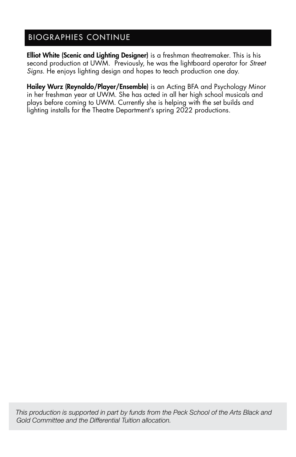### BIOGRAPHIES CONTINUE

Elliot White (Scenic and Lighting Designer) is a freshman theatremaker. This is his second production at UWM. Previously, he was the lightboard operator for *Street Signs*. He enjoys lighting design and hopes to teach production one day.

Hailey Wurz (Reynaldo/Player/Ensemble) is an Acting BFA and Psychology Minor in her freshman year at UWM. She has acted in all her high school musicals and plays before coming to UWM. Currently she is helping with the set builds and lighting installs for the Theatre Department's spring 2022 productions.

*This production is supported in part by funds from the Peck School of the Arts Black and Gold Committee and the Differential Tuition allocation.*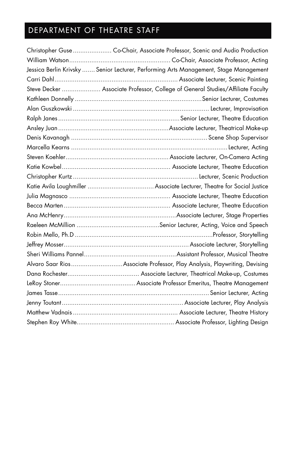### DEPARTMENT OF THEATRE STAFF

| Christopher Guse  Co-Chair, Associate Professor, Scenic and Audio Production          |
|---------------------------------------------------------------------------------------|
|                                                                                       |
| Jessica Berlin Krivsky  Senior Lecturer, Performing Arts Management, Stage Management |
|                                                                                       |
| Steve Decker  Associate Professor, College of General Studies/Affiliate Faculty       |
|                                                                                       |
|                                                                                       |
|                                                                                       |
|                                                                                       |
|                                                                                       |
|                                                                                       |
|                                                                                       |
|                                                                                       |
|                                                                                       |
|                                                                                       |
|                                                                                       |
|                                                                                       |
|                                                                                       |
|                                                                                       |
|                                                                                       |
|                                                                                       |
|                                                                                       |
| Alvaro Saar RiosAssociate Professor, Play Analysis, Playwriting, Devising             |
|                                                                                       |
|                                                                                       |
|                                                                                       |
|                                                                                       |
|                                                                                       |
|                                                                                       |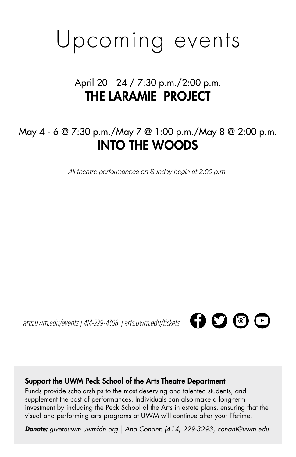## Upcoming events

### April 20 - 24 / 7:30 p.m./2:00 p.m. THE LARAMIE PROJECT

### May 4 - 6 @ 7:30 p.m./May 7 @ 1:00 p.m./May 8 @ 2:00 p.m. INTO THE WOODS

*All theatre performances on Sunday begin at 2:00 p.m.*

*arts.uwm.edu/events | 414-229-4308 | arts.uwm.edu/tickets* 



### Support the UWM Peck School of the Arts Theatre Department

Funds provide scholarships to the most deserving and talented students, and supplement the cost of performances. Individuals can also make a long-term investment by including the Peck School of the Arts in estate plans, ensuring that the visual and performing arts programs at UWM will continue after your lifetime.

*Donate: givetouwm.uwmfdn.org | Ana Conant: (414) 229-3293, conant@uwm.edu*